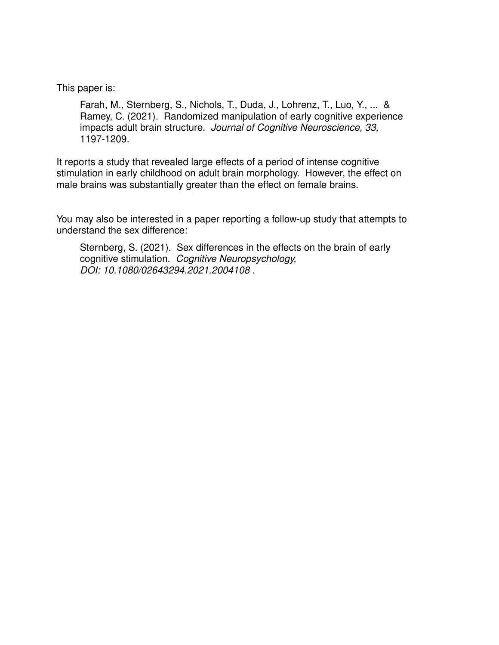This paper is:

Farah, M., Sternberg, S., Nichols, T., Duda, J., Lohrenz, T., Luo, Y., ... & Ramey, C. (2021). Randomized manipulation of early cognitive experience impacts adult brain structure. Journal of Cognitive Neuroscience, 33, 1197-1209.

It reports a study that revealed large effects of a period of intense cognitive stimulation in early childhood on adult brain morphology. However, the effect on male brains was substantially greater than the effect on female brains.

You may also be interested in a paper reporting a follow-up study that attempts to understand the sex difference:

Sternberg, S. (2021). Sex differences in the effects on the brain of early cognitive stimulation. Cognitive Neuropsychology, DOI: 10.1080/02643294.2021.2004108 .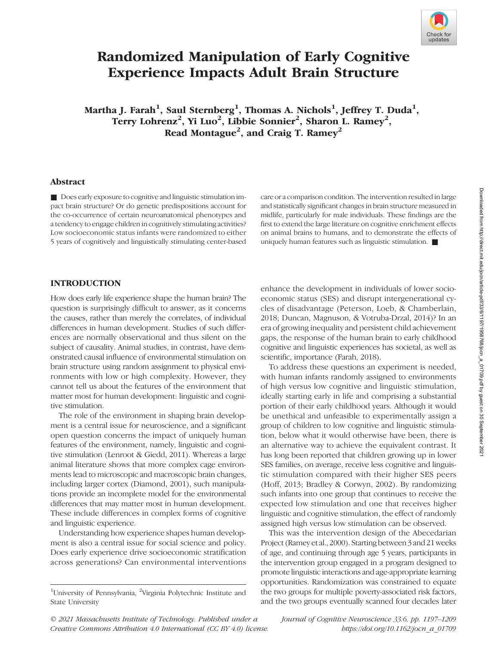

# Randomized Manipulation of Early Cognitive Experience Impacts Adult Brain Structure

Martha J. Farah $^1$ , Saul Sternberg $^1$ , Thomas A. Nichols $^1$ , Jeffrey T. Duda $^1,$ Terry Lohrenz<sup>2</sup>, Yi Luo<sup>2</sup>, Libbie Sonnier<sup>2</sup>, Sharon L. Ramey<sup>2</sup>, Read Montague<sup>2</sup>, and Craig T. Ramey<sup>2</sup>

#### Abstract

■ Does early exposure to cognitive and linguistic stimulation impact brain structure? Or do genetic predispositions account for the co-occurrence of certain neuroanatomical phenotypes and a tendency to engage children in cognitively stimulating activities? Low socioeconomic status infants were randomized to either 5 years of cognitively and linguistically stimulating center-based

care or a comparison condition. The intervention resulted in large and statistically significant changes in brain structure measured in midlife, particularly for male individuals. These findings are the first to extend the large literature on cognitive enrichment effects on animal brains to humans, and to demonstrate the effects of uniquely human features such as linguistic stimulation. ■

#### INTRODUCTION

How does early life experience shape the human brain? The question is surprisingly difficult to answer, as it concerns the causes, rather than merely the correlates, of individual differences in human development. Studies of such differences are normally observational and thus silent on the subject of causality. Animal studies, in contrast, have demonstrated causal influence of environmental stimulation on brain structure using random assignment to physical environments with low or high complexity. However, they cannot tell us about the features of the environment that matter most for human development: linguistic and cognitive stimulation.

The role of the environment in shaping brain development is a central issue for neuroscience, and a significant open question concerns the impact of uniquely human features of the environment, namely, linguistic and cognitive stimulation (Lenroot & Giedd, 2011). Whereas a large animal literature shows that more complex cage environments lead to microscopic and macroscopic brain changes, including larger cortex (Diamond, 2001), such manipulations provide an incomplete model for the environmental differences that may matter most in human development. These include differences in complex forms of cognitive and linguistic experience.

Understanding how experience shapes human development is also a central issue for social science and policy. Does early experience drive socioeconomic stratification across generations? Can environmental interventions

enhance the development in individuals of lower socioeconomic status (SES) and disrupt intergenerational cycles of disadvantage (Peterson, Loeb, & Chamberlain, 2018; Duncan, Magnuson, & Votruba-Drzal, 2014)? In an era of growing inequality and persistent child achievement gaps, the response of the human brain to early childhood cognitive and linguistic experiences has societal, as well as scientific, importance (Farah, 2018).

To address these questions an experiment is needed, with human infants randomly assigned to environments of high versus low cognitive and linguistic stimulation, ideally starting early in life and comprising a substantial portion of their early childhood years. Although it would be unethical and unfeasible to experimentally assign a group of children to low cognitive and linguistic stimulation, below what it would otherwise have been, there is an alternative way to achieve the equivalent contrast. It has long been reported that children growing up in lower SES families, on average, receive less cognitive and linguistic stimulation compared with their higher SES peers (Hoff, 2013; Bradley & Corwyn, 2002). By randomizing such infants into one group that continues to receive the expected low stimulation and one that receives higher linguistic and cognitive stimulation, the effect of randomly assigned high versus low stimulation can be observed.

This was the intervention design of the Abecedarian Project (Ramey et al., 2000). Starting between 3 and 21 weeks of age, and continuing through age 5 years, participants in the intervention group engaged in a program designed to promote linguistic interactions and age-appropriate learning opportunities. Randomization was constrained to equate the two groups for multiple poverty-associated risk factors, and the two groups eventually scanned four decades later

© 2021 Massachusetts Institute of Technology. Published under a Creative Commons Attribution 4.0 International (CC BY 4.0) license. Journal of Cognitive Neuroscience 33:6, pp. 1197–1209 https://doi.org/10.1162/jocn\_a\_01709

<sup>&</sup>lt;sup>1</sup>University of Pennsylvania, <sup>2</sup>Virginia Polytechnic Institute and State University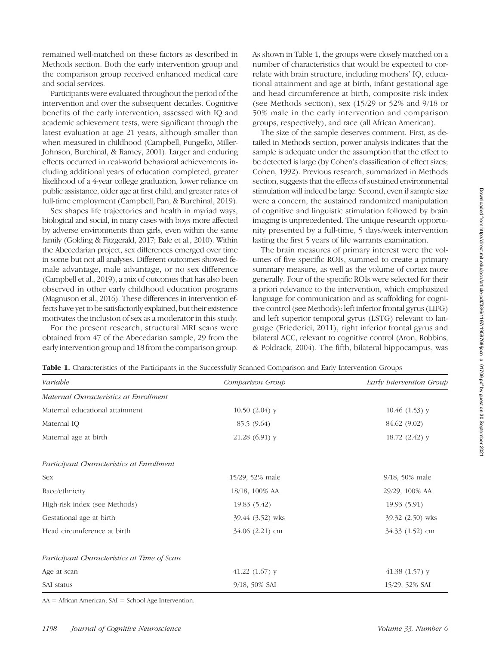remained well-matched on these factors as described in Methods section. Both the early intervention group and the comparison group received enhanced medical care and social services.

Participants were evaluated throughout the period of the intervention and over the subsequent decades. Cognitive benefits of the early intervention, assessed with IQ and academic achievement tests, were significant through the latest evaluation at age 21 years, although smaller than when measured in childhood (Campbell, Pungello, Miller-Johnson, Burchinal, & Ramey, 2001). Larger and enduring effects occurred in real-world behavioral achievements including additional years of education completed, greater likelihood of a 4-year college graduation, lower reliance on public assistance, older age at first child, and greater rates of full-time employment (Campbell, Pan, & Burchinal, 2019).

Sex shapes life trajectories and health in myriad ways, biological and social, in many cases with boys more affected by adverse environments than girls, even within the same family (Golding & Fitzgerald, 2017; Bale et al., 2010). Within the Abecedarian project, sex differences emerged over time in some but not all analyses. Different outcomes showed female advantage, male advantage, or no sex difference (Campbell et al., 2019), a mix of outcomes that has also been observed in other early childhood education programs (Magnuson et al., 2016). These differences in intervention effects have yet to be satisfactorily explained, but their existence motivates the inclusion of sex as a moderator in this study.

For the present research, structural MRI scans were obtained from 47 of the Abecedarian sample, 29 from the early intervention group and 18 from the comparison group. As shown in Table 1, the groups were closely matched on a number of characteristics that would be expected to correlate with brain structure, including mothers' IQ, educational attainment and age at birth, infant gestational age and head circumference at birth, composite risk index (see Methods section), sex (15/29 or 52% and 9/18 or 50% male in the early intervention and comparison groups, respectively), and race (all African American).

The size of the sample deserves comment. First, as detailed in Methods section, power analysis indicates that the sample is adequate under the assumption that the effect to be detected is large (by Cohen's classification of effect sizes; Cohen, 1992). Previous research, summarized in Methods section, suggests that the effects of sustained environmental stimulation will indeed be large. Second, even if sample size were a concern, the sustained randomized manipulation of cognitive and linguistic stimulation followed by brain imaging is unprecedented. The unique research opportunity presented by a full-time, 5 days/week intervention lasting the first 5 years of life warrants examination.

The brain measures of primary interest were the volumes of five specific ROIs, summed to create a primary summary measure, as well as the volume of cortex more generally. Four of the specific ROIs were selected for their a priori relevance to the intervention, which emphasized language for communication and as scaffolding for cognitive control (see Methods): left inferior frontal gyrus (LIFG) and left superior temporal gyrus (LSTG) relevant to language (Friederici, 2011), right inferior frontal gyrus and bilateral ACC, relevant to cognitive control (Aron, Robbins, & Poldrack, 2004). The fifth, bilateral hippocampus, was

| Variable                                    | Comparison Group    | Early Intervention Group |
|---------------------------------------------|---------------------|--------------------------|
| Maternal Characteristics at Enrollment      |                     |                          |
| Maternal educational attainment             | $10.50(2.04)$ y     | $10.46(1.53)$ y          |
| Maternal IQ                                 | 85.5 (9.64)         | 84.62 (9.02)             |
| Maternal age at birth                       | $21.28(6.91)$ y     | $18.72(2.42)$ y          |
| Participant Characteristics at Enrollment   |                     |                          |
| <b>Sex</b>                                  | 15/29, 52% male     | $9/18$ , 50% male        |
| Race/ethnicity                              | 18/18, 100% AA      | 29/29, 100% AA           |
| High-risk index (see Methods)               | 19.83 (5.42)        | 19.93 (5.91)             |
| Gestational age at birth                    | 39.44 (3.52) wks    | 39.32 (2.50) wks         |
| Head circumference at birth                 | $34.06$ $(2.21)$ cm | $34.33(1.52)$ cm         |
| Participant Characteristics at Time of Scan |                     |                          |
| Age at scan                                 | $41.22$ (1.67) y    | 41.38 $(1.57)$ y         |
| SAI status                                  | 9/18, 50% SAI       | 15/29, 52% SAI           |

Table 1. Characteristics of the Participants in the Successfully Scanned Comparison and Early Intervention Groups

AA = African American; SAI = School Age Intervention.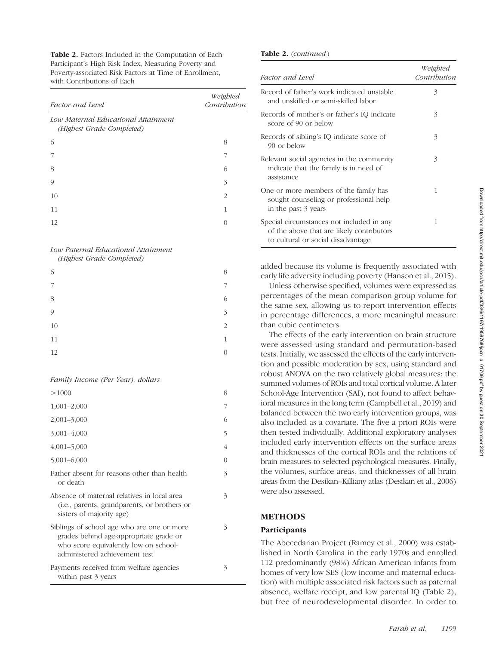Table 2. Factors Included in the Computation of Each Participant's High Risk Index, Measuring Poverty and Poverty-associated Risk Factors at Time of Enrollment, with Contributions of Each

| Factor and Level                                                 | Weighted<br>Contribution |
|------------------------------------------------------------------|--------------------------|
| Low Maternal Educational Attainment<br>(Highest Grade Completed) |                          |
| 6                                                                | 8                        |
|                                                                  |                          |
| 8                                                                | 6                        |
| 9                                                                | 3                        |
| 10                                                               | $\mathcal{L}$            |
| 11                                                               | 1                        |
| 12                                                               |                          |

## Low Paternal Educational Attainment

(Highest Grade Completed)

| 6             | 8                        |
|---------------|--------------------------|
| 7             | 7                        |
| 8             | 6                        |
| $\mathcal{O}$ | $\overline{\mathcal{E}}$ |
| $10\,$        | $\overline{c}$           |
| 11            | $\mathbf{1}$             |
| 12            | $\overline{0}$           |

Family Income (Per Year), dollars

| >1000                                                                                                                                                          | 8 |
|----------------------------------------------------------------------------------------------------------------------------------------------------------------|---|
| $1,001-2,000$                                                                                                                                                  |   |
| $2,001 - 3,000$                                                                                                                                                | 6 |
| $3,001 - 4,000$                                                                                                                                                | 5 |
| $4,001 - 5,000$                                                                                                                                                | 4 |
| $5,001 - 6,000$                                                                                                                                                | 0 |
| Father absent for reasons other than health<br>or death                                                                                                        | 3 |
| Absence of maternal relatives in local area<br>(i.e., parents, grandparents, or brothers or<br>sisters of majority age)                                        | 3 |
| Siblings of school age who are one or more<br>grades behind age-appropriate grade or<br>who score equivalently low on school-<br>administered achievement test | 3 |
| Payments received from welfare agencies<br>within past 3 years                                                                                                 | 3 |

#### Table 2. (continued)

| Factor and Level                                                                                                             | Weighted<br>Contribution |
|------------------------------------------------------------------------------------------------------------------------------|--------------------------|
| Record of father's work indicated unstable<br>and unskilled or semi-skilled labor                                            | 3                        |
| Records of mother's or father's IQ indicate<br>score of 90 or below                                                          | 3                        |
| Records of sibling's IQ indicate score of<br>90 or below                                                                     | 3                        |
| Relevant social agencies in the community<br>indicate that the family is in need of<br>assistance                            | 3                        |
| One or more members of the family has<br>sought counseling or professional help<br>in the past 3 years                       | 1                        |
| Special circumstances not included in any<br>of the above that are likely contributors<br>to cultural or social disadvantage | 1                        |

added because its volume is frequently associated with early life adversity including poverty (Hanson et al., 2015).

Unless otherwise specified, volumes were expressed as percentages of the mean comparison group volume for the same sex, allowing us to report intervention effects in percentage differences, a more meaningful measure than cubic centimeters.

The effects of the early intervention on brain structure were assessed using standard and permutation-based tests. Initially, we assessed the effects of the early intervention and possible moderation by sex, using standard and robust ANOVA on the two relatively global measures: the summed volumes of ROIs and total cortical volume. A later School-Age Intervention (SAI), not found to affect behavioral measures in the long term (Campbell et al., 2019) and balanced between the two early intervention groups, was also included as a covariate. The five a priori ROIs were then tested individually. Additional exploratory analyses included early intervention effects on the surface areas and thicknesses of the cortical ROIs and the relations of brain measures to selected psychological measures. Finally, the volumes, surface areas, and thicknesses of all brain areas from the Desikan–Killiany atlas (Desikan et al., 2006) were also assessed.

## METHODS

## Participants

The Abecedarian Project (Ramey et al., 2000) was established in North Carolina in the early 1970s and enrolled 112 predominantly (98%) African American infants from homes of very low SES (low income and maternal education) with multiple associated risk factors such as paternal absence, welfare receipt, and low parental IQ (Table 2), but free of neurodevelopmental disorder. In order to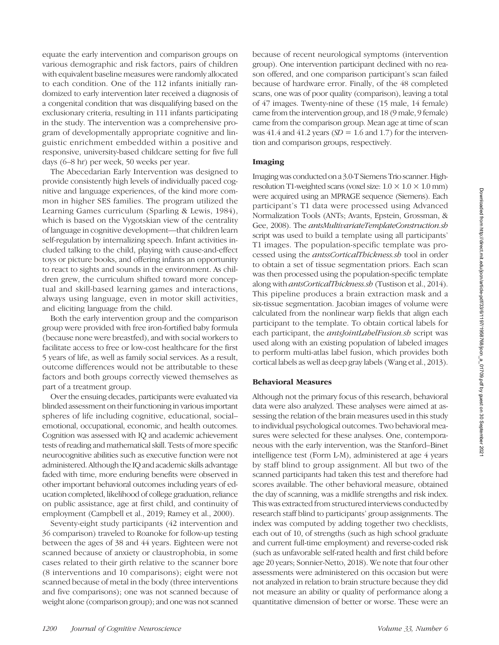equate the early intervention and comparison groups on various demographic and risk factors, pairs of children with equivalent baseline measures were randomly allocated to each condition. One of the 112 infants initially randomized to early intervention later received a diagnosis of a congenital condition that was disqualifying based on the exclusionary criteria, resulting in 111 infants participating in the study. The intervention was a comprehensive program of developmentally appropriate cognitive and linguistic enrichment embedded within a positive and responsive, university-based childcare setting for five full days (6–8 hr) per week, 50 weeks per year.

The Abecedarian Early Intervention was designed to provide consistently high levels of individually paced cognitive and language experiences, of the kind more common in higher SES families. The program utilized the Learning Games curriculum (Sparling & Lewis, 1984), which is based on the Vygotskian view of the centrality of language in cognitive development—that children learn self-regulation by internalizing speech. Infant activities included talking to the child, playing with cause-and-effect toys or picture books, and offering infants an opportunity to react to sights and sounds in the environment. As children grew, the curriculum shifted toward more conceptual and skill-based learning games and interactions, always using language, even in motor skill activities, and eliciting language from the child.

Both the early intervention group and the comparison group were provided with free iron-fortified baby formula (because none were breastfed), and with social workers to facilitate access to free or low-cost healthcare for the first 5 years of life, as well as family social services. As a result, outcome differences would not be attributable to these factors and both groups correctly viewed themselves as part of a treatment group.

Over the ensuing decades, participants were evaluated via blinded assessment on their functioning in various important spheres of life including cognitive, educational, social– emotional, occupational, economic, and health outcomes. Cognition was assessed with IQ and academic achievement tests of reading and mathematical skill. Tests of more specific neurocognitive abilities such as executive function were not administered. Although the IQ and academic skills advantage faded with time, more enduring benefits were observed in other important behavioral outcomes including years of education completed, likelihood of college graduation, reliance on public assistance, age at first child, and continuity of employment (Campbell et al., 2019; Ramey et al., 2000).

Seventy-eight study participants (42 intervention and 36 comparison) traveled to Roanoke for follow-up testing between the ages of 38 and 44 years. Eighteen were not scanned because of anxiety or claustrophobia, in some cases related to their girth relative to the scanner bore (8 interventions and 10 comparisons); eight were not scanned because of metal in the body (three interventions and five comparisons); one was not scanned because of weight alone (comparison group); and one was not scanned because of recent neurological symptoms (intervention group). One intervention participant declined with no reason offered, and one comparison participant's scan failed because of hardware error. Finally, of the 48 completed scans, one was of poor quality (comparison), leaving a total of 47 images. Twenty-nine of these (15 male, 14 female) came from the intervention group, and 18 (9 male, 9 female) came from the comparison group. Mean age at time of scan was 41.4 and 41.2 years  $(SD = 1.6$  and 1.7) for the intervention and comparison groups, respectively.

#### Imaging

Imaging was conducted on a 3.0-T Siemens Trio scanner. Highresolution T1-weighted scans (voxel size:  $1.0 \times 1.0 \times 1.0$  mm) were acquired using an MPRAGE sequence (Siemens). Each participant's T1 data were processed using Advanced Normalization Tools (ANTs; Avants, Epstein, Grossman, & Gee, 2008). The *antsMultivariateTemplateConstruction.sh* script was used to build a template using all participants' T1 images. The population-specific template was processed using the antssCorticalThickness.sh tool in order to obtain a set of tissue segmentation priors. Each scan was then processed using the population-specific template along with antsCorticalThickness.sh (Tustison et al., 2014). This pipeline produces a brain extraction mask and a six-tissue segmentation. Jacobian images of volume were calculated from the nonlinear warp fields that align each participant to the template. To obtain cortical labels for each participant, the *antsJointLabelFusion.sh* script was used along with an existing population of labeled images to perform multi-atlas label fusion, which provides both cortical labels as well as deep gray labels (Wang et al., 2013).

#### Behavioral Measures

Although not the primary focus of this research, behavioral data were also analyzed. These analyses were aimed at assessing the relation of the brain measures used in this study to individual psychological outcomes. Two behavioral measures were selected for these analyses. One, contemporaneous with the early intervention, was the Stanford–Binet intelligence test (Form L-M), administered at age 4 years by staff blind to group assignment. All but two of the scanned participants had taken this test and therefore had scores available. The other behavioral measure, obtained the day of scanning, was a midlife strengths and risk index. This was extracted from structured interviews conducted by research staff blind to participants' group assignments. The index was computed by adding together two checklists, each out of 10, of strengths (such as high school graduate and current full-time employment) and reverse-coded risk (such as unfavorable self-rated health and first child before age 20 years; Sonnier-Netto, 2018). We note that four other assessments were administered on this occasion but were not analyzed in relation to brain structure because they did not measure an ability or quality of performance along a quantitative dimension of better or worse. These were an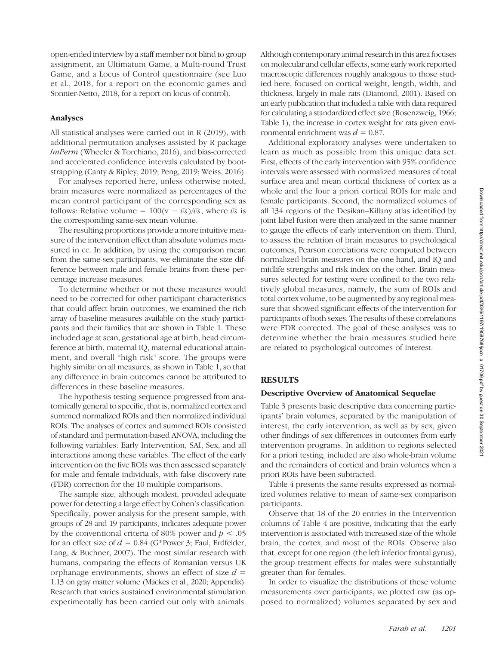open-ended interview by a staff member not blind to group assignment, an Ultimatum Game, a Multi-round Trust Game, and a Locus of Control questionnaire (see Luo et al., 2018, for a report on the economic games and Sonnier-Netto, 2018, for a report on locus of control).

#### Analyses

All statistical analyses were carried out in R (2019), with additional permutation analyses assisted by R package lmPerm (Wheeler & Torchiano, 2016), and bias-corrected and accelerated confidence intervals calculated by bootstrapping (Canty & Ripley, 2019; Peng, 2019; Weiss, 2016).

For analyses reported here, unless otherwise noted, brain measures were normalized as percentages of the mean control participant of the corresponding sex as follows: Relative volume =  $100(v - \bar{v}\bar{s})/\bar{v}\bar{s}$ , where  $\bar{v}\bar{s}$  is the corresponding same-sex mean volume.

The resulting proportions provide a more intuitive measure of the intervention effect than absolute volumes measured in cc. In addition, by using the comparison mean from the same-sex participants, we eliminate the size difference between male and female brains from these percentage increase measures.

To determine whether or not these measures would need to be corrected for other participant characteristics that could affect brain outcomes, we examined the rich array of baseline measures available on the study participants and their families that are shown in Table 1. These included age at scan, gestational age at birth, head circumference at birth, maternal IQ, maternal educational attainment, and overall "high risk" score. The groups were highly similar on all measures, as shown in Table 1, so that any difference in brain outcomes cannot be attributed to differences in these baseline measures.

The hypothesis testing sequence progressed from anatomically general to specific, that is, normalized cortex and summed normalized ROIs and then normalized individual ROIs. The analyses of cortex and summed ROIs consisted of standard and permutation-based ANOVA, including the following variables: Early Intervention, SAI, Sex, and all interactions among these variables. The effect of the early intervention on the five ROIs was then assessed separately for male and female individuals, with false discovery rate (FDR) correction for the 10 multiple comparisons.

The sample size, although modest, provided adequate power for detecting a large effect by Cohen's classification. Specifically, power analysis for the present sample, with groups of 28 and 19 participants, indicates adequate power by the conventional criteria of 80% power and  $p < .05$ for an effect size of  $d = 0.84$  (G\*Power 3; Faul, Erdfelder, Lang, & Buchner, 2007). The most similar research with humans, comparing the effects of Romanian versus UK orphanage environments, shows an effect of size  $d =$ 1.13 on gray matter volume (Mackes et al., 2020; Appendix). Research that varies sustained environmental stimulation experimentally has been carried out only with animals.

Although contemporary animal research in this area focuses on molecular and cellular effects, some early work reported macroscopic differences roughly analogous to those studied here, focused on cortical weight, length, width, and thickness, largely in male rats (Diamond, 2001). Based on an early publication that included a table with data required for calculating a standardized effect size (Rosenzweig, 1966; Table 1), the increase in cortex weight for rats given environmental enrichment was  $d = 0.87$ .

Additional exploratory analyses were undertaken to learn as much as possible from this unique data set. First, effects of the early intervention with 95% confidence intervals were assessed with normalized measures of total surface area and mean cortical thickness of cortex as a whole and the four a priori cortical ROIs for male and female participants. Second, the normalized volumes of all 134 regions of the Desikan–Killany atlas identified by joint label fusion were then analyzed in the same manner to gauge the effects of early intervention on them. Third, to assess the relation of brain measures to psychological outcomes, Pearson correlations were computed between normalized brain measures on the one hand, and IQ and midlife strengths and risk index on the other. Brain measures selected for testing were confined to the two relatively global measures, namely, the sum of ROIs and total cortex volume, to be augmented by any regional measure that showed significant effects of the intervention for participants of both sexes. The results of these correlations were FDR corrected. The goal of these analyses was to determine whether the brain measures studied here are related to psychological outcomes of interest.

#### RESULTS

#### Descriptive Overview of Anatomical Sequelae

Table 3 presents basic descriptive data concerning participants' brain volumes, separated by the manipulation of interest, the early intervention, as well as by sex, given other findings of sex differences in outcomes from early intervention programs. In addition to regions selected for a priori testing, included are also whole-brain volume and the remainders of cortical and brain volumes when a priori ROIs have been subtracted.

Table 4 presents the same results expressed as normalized volumes relative to mean of same-sex comparison participants.

Observe that 18 of the 20 entries in the Intervention columns of Table 4 are positive, indicating that the early intervention is associated with increased size of the whole brain, the cortex, and most of the ROIs. Observe also that, except for one region (the left inferior frontal gyrus), the group treatment effects for males were substantially greater than for females.

In order to visualize the distributions of these volume measurements over participants, we plotted raw (as opposed to normalized) volumes separated by sex and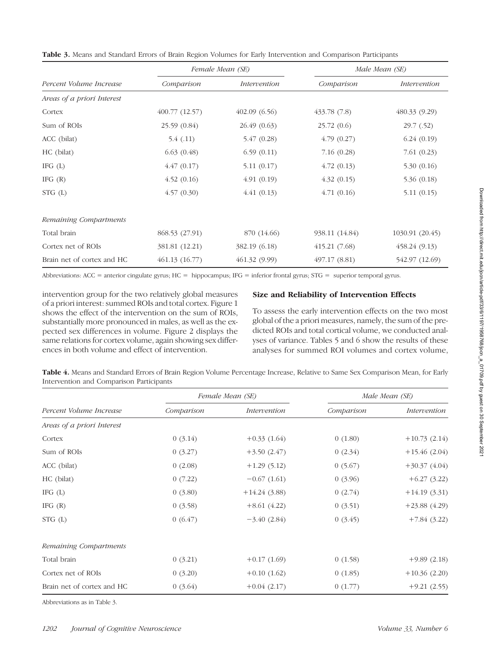|                            |                | Female Mean (SE) |                | Male Mean (SE)  |
|----------------------------|----------------|------------------|----------------|-----------------|
| Percent Volume Increase    | Comparison     | Intervention     | Comparison     | Intervention    |
| Areas of a priori Interest |                |                  |                |                 |
| Cortex                     | 400.77(12.57)  | 402.09(6.56)     | 433.78(7.8)    | 480.33 (9.29)   |
| Sum of ROIs                | 25.59 (0.84)   | 26.49 (0.63)     | 25.72(0.6)     | 29.7(0.52)      |
| ACC (bilat)                | 5.4(0.11)      | 5.47(0.28)       | 4.79(0.27)     | 6.24(0.19)      |
| HC (bilat)                 | 6.63(0.48)     | 6.59(0.11)       | 7.16(0.28)     | 7.61(0.23)      |
| IFG $(L)$                  | 4.47(0.17)     | 5.11(0.17)       | 4.72(0.13)     | 5.30(0.16)      |
| IFG $(R)$                  | 4.52(0.16)     | 4.91(0.19)       | 4.32(0.15)     | 5.36(0.18)      |
| STG(L)                     | 4.57(0.30)     | 4.41(0.13)       | 4.71(0.16)     | 5.11(0.15)      |
| Remaining Compartments     |                |                  |                |                 |
| Total brain                | 868.53 (27.91) | 870 (14.66)      | 938.11 (14.84) | 1030.91 (20.45) |
| Cortex net of ROIs         | 381.81 (12.21) | 382.19 (6.18)    | 415.21(7.68)   | 458.24(9.13)    |
| Brain net of cortex and HC | 461.13(16.77)  | 461.32 (9.99)    | 497.17 (8.81)  | 542.97 (12.69)  |
|                            |                |                  |                |                 |

Table 3. Means and Standard Errors of Brain Region Volumes for Early Intervention and Comparison Participants

Abbreviations: ACC = anterior cingulate gyrus; HC = hippocampus; IFG = inferior frontal gyrus; STG = superior temporal gyrus.

intervention group for the two relatively global measures of a priori interest: summed ROIs and total cortex. Figure 1 shows the effect of the intervention on the sum of ROIs, substantially more pronounced in males, as well as the expected sex differences in volume. Figure 2 displays the same relations for cortex volume, again showing sex differences in both volume and effect of intervention.

## Size and Reliability of Intervention Effects

To assess the early intervention effects on the two most global of the a priori measures, namely, the sum of the predicted ROIs and total cortical volume, we conducted analyses of variance. Tables 5 and 6 show the results of these analyses for summed ROI volumes and cortex volume,

Table 4. Means and Standard Errors of Brain Region Volume Percentage Increase, Relative to Same Sex Comparison Mean, for Early Intervention and Comparison Participants

|                            |            | Female Mean (SE) | Male Mean (SE) |                |
|----------------------------|------------|------------------|----------------|----------------|
| Percent Volume Increase    | Comparison | Intervention     | Comparison     | Intervention   |
| Areas of a priori Interest |            |                  |                |                |
| Cortex                     | 0(3.14)    | $+0.33(1.64)$    | 0(1.80)        | $+10.73(2.14)$ |
| Sum of ROIs                | 0(3.27)    | $+3.50(2.47)$    | 0(2.34)        | $+15.46(2.04)$ |
| ACC (bilat)                | 0(2.08)    | $+1.29(5.12)$    | 0(5.67)        | $+30.37(4.04)$ |
| HC (bilat)                 | 0(7.22)    | $-0.67(1.61)$    | 0(3.96)        | $+6.27(3.22)$  |
| IFG $(L)$                  | 0(3.80)    | $+14.24(3.88)$   | 0(2.74)        | $+14.19(3.31)$ |
| IFG $(R)$                  | 0(3.58)    | $+8.61(4.22)$    | 0(3.51)        | $+23.88(4.29)$ |
| $STG$ (L)                  | 0(6.47)    | $-3.40(2.84)$    | 0(3.45)        | $+7.84(3.22)$  |
| Remaining Compartments     |            |                  |                |                |
| Total brain                | 0(3.21)    | $+0.17(1.69)$    | 0(1.58)        | $+9.89(2.18)$  |
| Cortex net of ROIs         | 0(3.20)    | $+0.10(1.62)$    | 0(1.85)        | $+10.36(2.20)$ |
| Brain net of cortex and HC | 0(3.64)    | $+0.04(2.17)$    | 0(1.77)        | $+9.21(2.55)$  |

Abbreviations as in Table 3.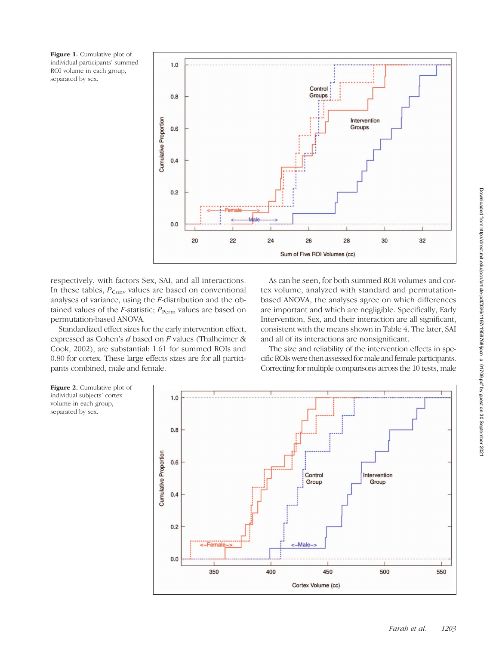Figure 1. Cumulative plot of individual participants' summed ROI volume in each group, separated by sex.



respectively, with factors Sex, SAI, and all interactions. In these tables,  $P_{Conv}$  values are based on conventional analyses of variance, using the F-distribution and the obtained values of the *F*-statistic;  $P_{\text{Perm}}$  values are based on permutation-based ANOVA.

Standardized effect sizes for the early intervention effect, expressed as Cohen's d based on F values (Thalheimer & Cook, 2002), are substantial: 1.61 for summed ROIs and 0.80 for cortex. These large effects sizes are for all participants combined, male and female.

As can be seen, for both summed ROI volumes and cortex volume, analyzed with standard and permutationbased ANOVA, the analyses agree on which differences are important and which are negligible. Specifically, Early Intervention, Sex, and their interaction are all significant, consistent with the means shown in Table 4. The later, SAI and all of its interactions are nonsignificant.

The size and reliability of the intervention effects in specific ROIs were then assessed for male and female participants. Correcting for multiple comparisons across the 10 tests, male



Downloaded from http://direct.mit.edu/jocn/article-pdf/33/6/1197/1958768/jocn\_a\_01709.pdf by guest on 30 September 2021

Downloaded from http://direct.mit.edu/jocn/article-pdf/33/6/1197/1958768/jocn\_a\_01709.pdf by guest on 30 September 202

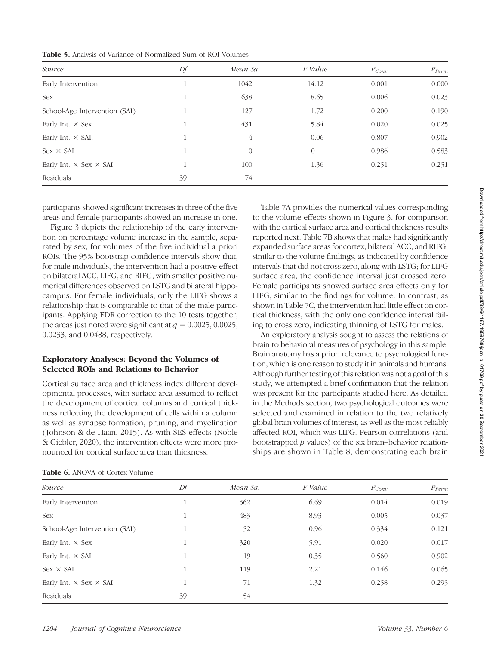| Source                               | Df       | Mean Sq.       | F Value        | $P_{Conv}$ | $P_{\text{Perm}}$ |
|--------------------------------------|----------|----------------|----------------|------------|-------------------|
| Early Intervention                   | T        | 1042           | 14.12          | 0.001      | 0.000             |
| Sex                                  | 1<br>т   | 638            | 8.65           | 0.006      | 0.023             |
| School-Age Intervention (SAI)        | -1       | 127            | 1.72           | 0.200      | 0.190             |
| Early Int. $\times$ Sex              | 11<br>Τ. | 431            | 5.84           | 0.020      | 0.025             |
| Early Int. $\times$ SAI.             | 11<br>T  | $\overline{4}$ | 0.06           | 0.807      | 0.902             |
| $Sex \times SAI$                     | $\perp$  | $\overline{0}$ | $\overline{0}$ | 0.986      | 0.583             |
| Early Int. $\times$ Sex $\times$ SAI | 11       | 100            | 1.36           | 0.251      | 0.251             |
| Residuals                            | 39       | 74             |                |            |                   |

participants showed significant increases in three of the five areas and female participants showed an increase in one.

Figure 3 depicts the relationship of the early intervention on percentage volume increase in the sample, separated by sex, for volumes of the five individual a priori ROIs. The 95% bootstrap confidence intervals show that, for male individuals, the intervention had a positive effect on bilateral ACC, LIFG, and RIFG, with smaller positive numerical differences observed on LSTG and bilateral hippocampus. For female individuals, only the LIFG shows a relationship that is comparable to that of the male participants. Applying FDR correction to the 10 tests together, the areas just noted were significant at  $q = 0.0025, 0.0025$ , 0.0233, and 0.0488, respectively.

### Exploratory Analyses: Beyond the Volumes of Selected ROIs and Relations to Behavior

Cortical surface area and thickness index different developmental processes, with surface area assumed to reflect the development of cortical columns and cortical thickness reflecting the development of cells within a column as well as synapse formation, pruning, and myelination ( Johnson & de Haan, 2015). As with SES effects (Noble & Giebler, 2020), the intervention effects were more pronounced for cortical surface area than thickness.

Table 7A provides the numerical values corresponding to the volume effects shown in Figure 3, for comparison with the cortical surface area and cortical thickness results reported next. Table 7B shows that males had significantly expanded surface areas for cortex, bilateral ACC, and RIFG, similar to the volume findings, as indicated by confidence intervals that did not cross zero, along with LSTG; for LIFG surface area, the confidence interval just crossed zero. Female participants showed surface area effects only for LIFG, similar to the findings for volume. In contrast, as shown in Table 7C, the intervention had little effect on cortical thickness, with the only one confidence interval failing to cross zero, indicating thinning of LSTG for males.

An exploratory analysis sought to assess the relations of brain to behavioral measures of psychology in this sample. Brain anatomy has a priori relevance to psychological function, which is one reason to study it in animals and humans. Although further testing of this relation was not a goal of this study, we attempted a brief confirmation that the relation was present for the participants studied here. As detailed in the Methods section, two psychological outcomes were selected and examined in relation to the two relatively global brain volumes of interest, as well as the most reliably affected ROI, which was LIFG. Pearson correlations (and bootstrapped  $p$  values) of the six brain–behavior relationships are shown in Table 8, demonstrating each brain

| Source                               | Df | Mean Sq. | F Value | $P_{Conv}$ | $P_{\text{Perm}}$ |
|--------------------------------------|----|----------|---------|------------|-------------------|
| Early Intervention                   | 1  | 362      | 6.69    | 0.014      | 0.019             |
| <b>Sex</b>                           | 1  | 483      | 8.93    | 0.005      | 0.037             |
| School-Age Intervention (SAI)        | 1  | 52       | 0.96    | 0.334      | 0.121             |
| Early Int. $\times$ Sex              | 1  | 320      | 5.91    | 0.020      | 0.017             |
| Early Int. $\times$ SAI              | 1  | 19       | 0.35    | 0.560      | 0.902             |
| $Sex \times SAI$                     | 1  | 119      | 2.21    | 0.146      | 0.065             |
| Early Int. $\times$ Sex $\times$ SAI | 1  | 71       | 1.32    | 0.258      | 0.295             |
| Residuals                            | 39 | 54       |         |            |                   |

|  | <b>Table 6.</b> ANOVA of Cortex Volume |  |
|--|----------------------------------------|--|
|--|----------------------------------------|--|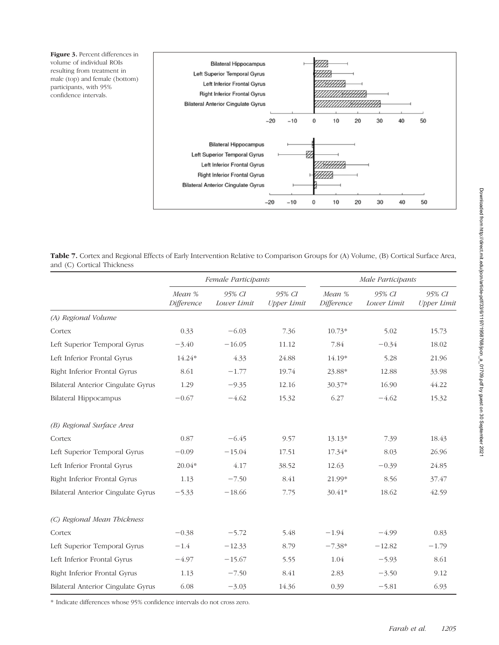Figure 3. Percent differences in volume of individual ROIs resulting from treatment in male (top) and female (bottom) participants, with 95% confidence intervals.



Table 7. Cortex and Regional Effects of Early Intervention Relative to Comparison Groups for (A) Volume, (B) Cortical Surface Area, and (C) Cortical Thickness

|                                           | Female Participants  |                       |                              |                      | Male Participants     |                              |
|-------------------------------------------|----------------------|-----------------------|------------------------------|----------------------|-----------------------|------------------------------|
|                                           | Mean %<br>Difference | 95% CI<br>Lower Limit | 95% CI<br><b>Upper Limit</b> | Mean %<br>Difference | 95% CI<br>Lower Limit | 95% CI<br><b>Upper Limit</b> |
| (A) Regional Volume                       |                      |                       |                              |                      |                       |                              |
| Cortex                                    | 0.33                 | $-6.03$               | 7.36                         | $10.73*$             | 5.02                  | 15.73                        |
| Left Superior Temporal Gyrus              | $-3.40$              | $-16.05$              | 11.12                        | 7.84                 | $-0.34$               | 18.02                        |
| Left Inferior Frontal Gyrus               | 14.24*               | 4.33                  | 24.88                        | 14.19*               | 5.28                  | 21.96                        |
| Right Inferior Frontal Gyrus              | 8.61                 | $-1.77$               | 19.74                        | 23.88*               | 12.88                 | 33.98                        |
| Bilateral Anterior Cingulate Gyrus        | 1.29                 | $-9.35$               | 12.16                        | 30.37*               | 16.90                 | 44.22                        |
| <b>Bilateral Hippocampus</b>              | $-0.67$              | $-4.62$               | 15.32                        | 6.27                 | $-4.62$               | 15.32                        |
| (B) Regional Surface Area                 |                      |                       |                              |                      |                       |                              |
| Cortex                                    | 0.87                 | $-6.45$               | 9.57                         | $13.13*$             | 7.39                  | 18.43                        |
| Left Superior Temporal Gyrus              | $-0.09$              | $-15.04$              | 17.51                        | 17.34*               | 8.03                  | 26.96                        |
| Left Inferior Frontal Gyrus               | $20.04*$             | 4.17                  | 38.52                        | 12.63                | $-0.39$               | 24.85                        |
| Right Inferior Frontal Gyrus              | 1.13                 | $-7.50$               | 8.41                         | 21.99*               | 8.56                  | 37.47                        |
| <b>Bilateral Anterior Cingulate Gyrus</b> | $-5.33$              | $-18.66$              | 7.75                         | 30.41*               | 18.62                 | 42.59                        |
| (C) Regional Mean Thickness               |                      |                       |                              |                      |                       |                              |
| Cortex                                    | $-0.38$              | $-5.72$               | 5.48                         | $-1.94$              | $-4.99$               | 0.83                         |
| Left Superior Temporal Gyrus              | $-1.4$               | $-12.33$              | 8.79                         | $-7.38*$             | $-12.82$              | $-1.79$                      |
| Left Inferior Frontal Gyrus               | $-4.97$              | $-15.67$              | 5.55                         | 1.04                 | $-5.93$               | 8.61                         |
| Right Inferior Frontal Gyrus              | 1.13                 | $-7.50$               | 8.41                         | 2.83                 | $-3.50$               | 9.12                         |
| <b>Bilateral Anterior Cingulate Gyrus</b> | 6.08                 | $-3.03$               | 14.36                        | 0.39                 | $-5.81$               | 6.93                         |

\* Indicate differences whose 95% confidence intervals do not cross zero.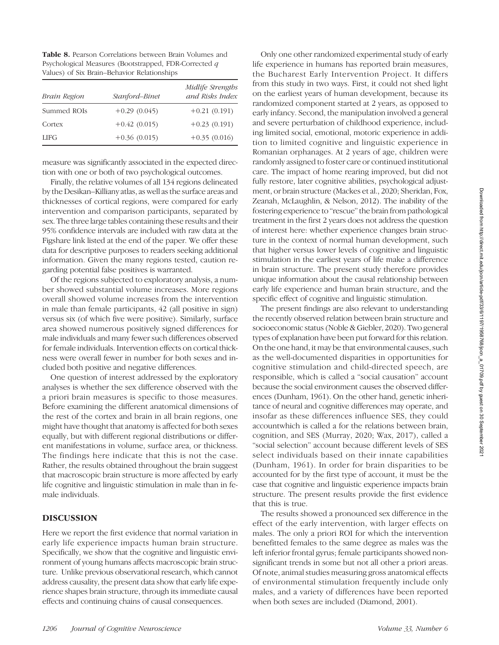Table 8. Pearson Correlations between Brain Volumes and Psychological Measures (Bootstrapped, FDR-Corrected q Values) of Six Brain–Behavior Relationships

| Brain Region | Stanford-Binet | Midlife Strengths<br>and Risks Index |
|--------------|----------------|--------------------------------------|
| Summed ROIs  | $+0.29(0.045)$ | $+0.21(0.191)$                       |
| Cortex       | $+0.42(0.015)$ | $+0.23(0.191)$                       |
| <b>LIFG</b>  | $+0.36(0.015)$ | $+0.35(0.016)$                       |

measure was significantly associated in the expected direction with one or both of two psychological outcomes.

Finally, the relative volumes of all 134 regions delineated by the Desikan–Killiany atlas, as well as the surface areas and thicknesses of cortical regions, were compared for early intervention and comparison participants, separated by sex. The three large tables containing these results and their 95% confidence intervals are included with raw data at the Figshare link listed at the end of the paper. We offer these data for descriptive purposes to readers seeking additional information. Given the many regions tested, caution regarding potential false positives is warranted.

Of the regions subjected to exploratory analysis, a number showed substantial volume increases. More regions overall showed volume increases from the intervention in male than female participants, 42 (all positive in sign) versus six (of which five were positive). Similarly, surface area showed numerous positively signed differences for male individuals and many fewer such differences observed for female individuals. Intervention effects on cortical thickness were overall fewer in number for both sexes and included both positive and negative differences.

One question of interest addressed by the exploratory analyses is whether the sex difference observed with the a priori brain measures is specific to those measures. Before examining the different anatomical dimensions of the rest of the cortex and brain in all brain regions, one might have thought that anatomy is affected for both sexes equally, but with different regional distributions or different manifestations in volume, surface area, or thickness. The findings here indicate that this is not the case. Rather, the results obtained throughout the brain suggest that macroscopic brain structure is more affected by early life cognitive and linguistic stimulation in male than in female individuals.

#### DISCUSSION

Here we report the first evidence that normal variation in early life experience impacts human brain structure. Specifically, we show that the cognitive and linguistic environment of young humans affects macroscopic brain structure. Unlike previous observational research, which cannot address causality, the present data show that early life experience shapes brain structure, through its immediate causal effects and continuing chains of causal consequences.

Only one other randomized experimental study of early life experience in humans has reported brain measures, the Bucharest Early Intervention Project. It differs from this study in two ways. First, it could not shed light on the earliest years of human development, because its randomized component started at 2 years, as opposed to early infancy. Second, the manipulation involved a general and severe perturbation of childhood experience, including limited social, emotional, motoric experience in addition to limited cognitive and linguistic experience in Romanian orphanages. At 2 years of age, children were randomly assigned to foster care or continued institutional care. The impact of home rearing improved, but did not fully restore, later cognitive abilities, psychological adjustment, or brain structure (Mackes et al., 2020; Sheridan, Fox, Zeanah, McLaughlin, & Nelson, 2012). The inability of the fostering experience to "rescue" the brain from pathological treatment in the first 2 years does not address the question of interest here: whether experience changes brain structure in the context of normal human development, such that higher versus lower levels of cognitive and linguistic stimulation in the earliest years of life make a difference in brain structure. The present study therefore provides unique information about the causal relationship between early life experience and human brain structure, and the specific effect of cognitive and linguistic stimulation.

The present findings are also relevant to understanding the recently observed relation between brain structure and socioeconomic status (Noble & Giebler, 2020). Two general types of explanation have been put forward for this relation. On the one hand, it may be that environmental causes, such as the well-documented disparities in opportunities for cognitive stimulation and child-directed speech, are responsible, which is called a "social causation" account because the social environment causes the observed differences (Dunham, 1961). On the other hand, genetic inheritance of neural and cognitive differences may operate, and insofar as these differences influence SES, they could accountwhich is called a for the relations between brain, cognition, and SES (Murray, 2020; Wax, 2017), called a "social selection" account because different levels of SES select individuals based on their innate capabilities (Dunham, 1961). In order for brain disparities to be accounted for by the first type of account, it must be the case that cognitive and linguistic experience impacts brain structure. The present results provide the first evidence that this is true.

The results showed a pronounced sex difference in the effect of the early intervention, with larger effects on males. The only a priori ROI for which the intervention benefitted females to the same degree as males was the left inferior frontal gyrus; female participants showed nonsignificant trends in some but not all other a priori areas. Of note, animal studies measuring gross anatomical effects of environmental stimulation frequently include only males, and a variety of differences have been reported when both sexes are included (Diamond, 2001).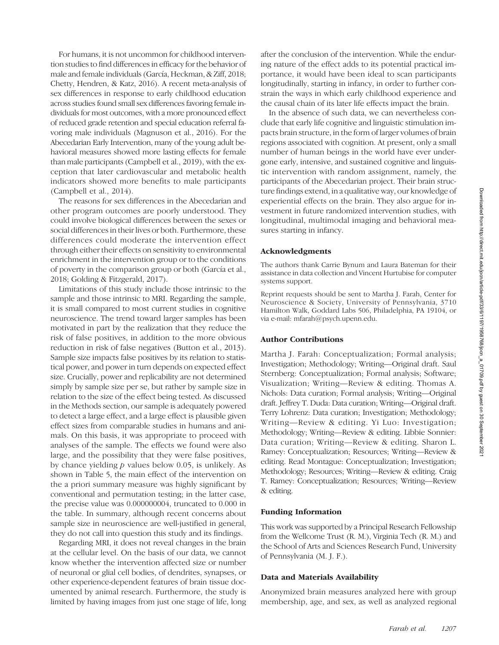For humans, it is not uncommon for childhood intervention studies to find differences in efficacy for the behavior of male and female individuals (García, Heckman, & Ziff, 2018; Chetty, Hendren, & Katz, 2016). A recent meta-analysis of sex differences in response to early childhood education across studies found small sex differences favoring female individuals for most outcomes, with a more pronounced effect of reduced grade retention and special education referral favoring male individuals (Magnuson et al., 2016). For the Abecedarian Early Intervention, many of the young adult behavioral measures showed more lasting effects for female than male participants (Campbell et al., 2019), with the exception that later cardiovascular and metabolic health indicators showed more benefits to male participants (Campbell et al., 2014).

The reasons for sex differences in the Abecedarian and other program outcomes are poorly understood. They could involve biological differences between the sexes or social differences in their lives or both. Furthermore, these differences could moderate the intervention effect through either their effects on sensitivity to environmental enrichment in the intervention group or to the conditions of poverty in the comparison group or both (García et al., 2018; Golding & Fitzgerald, 2017).

Limitations of this study include those intrinsic to the sample and those intrinsic to MRI. Regarding the sample, it is small compared to most current studies in cognitive neuroscience. The trend toward larger samples has been motivated in part by the realization that they reduce the risk of false positives, in addition to the more obvious reduction in risk of false negatives (Button et al., 2013). Sample size impacts false positives by its relation to statistical power, and power in turn depends on expected effect size. Crucially, power and replicability are not determined simply by sample size per se, but rather by sample size in relation to the size of the effect being tested. As discussed in the Methods section, our sample is adequately powered to detect a large effect, and a large effect is plausible given effect sizes from comparable studies in humans and animals. On this basis, it was appropriate to proceed with analyses of the sample. The effects we found were also large, and the possibility that they were false positives, by chance yielding  $p$  values below 0.05, is unlikely. As shown in Table 5, the main effect of the intervention on the a priori summary measure was highly significant by conventional and permutation testing; in the latter case, the precise value was 0.000000004, truncated to 0.000 in the table. In summary, although recent concerns about sample size in neuroscience are well-justified in general, they do not call into question this study and its findings.

Regarding MRI, it does not reveal changes in the brain at the cellular level. On the basis of our data, we cannot know whether the intervention affected size or number of neuronal or glial cell bodies, of dendrites, synapses, or other experience-dependent features of brain tissue documented by animal research. Furthermore, the study is limited by having images from just one stage of life, long

after the conclusion of the intervention. While the enduring nature of the effect adds to its potential practical importance, it would have been ideal to scan participants longitudinally, starting in infancy, in order to further constrain the ways in which early childhood experience and the causal chain of its later life effects impact the brain.

In the absence of such data, we can nevertheless conclude that early life cognitive and linguistic stimulation impacts brain structure, in the form of larger volumes of brain regions associated with cognition. At present, only a small number of human beings in the world have ever undergone early, intensive, and sustained cognitive and linguistic intervention with random assignment, namely, the participants of the Abecedarian project. Their brain structure findings extend, in a qualitative way, our knowledge of experiential effects on the brain. They also argue for investment in future randomized intervention studies, with longitudinal, multimodal imaging and behavioral measures starting in infancy.

#### Acknowledgments

The authors thank Carrie Bynum and Laura Bateman for their assistance in data collection and Vincent Hurtubise for computer systems support.

Reprint requests should be sent to Martha J. Farah, Center for Neuroscience & Society, University of Pennsylvania, 3710 Hamilton Walk, Goddard Labs 506, Philadelphia, PA 19104, or via e-mail: mfarah@psych.upenn.edu.

#### Author Contributions

Martha J. Farah: Conceptualization; Formal analysis; Investigation; Methodology; Writing—Original draft. Saul Sternberg: Conceptualization; Formal analysis; Software; Visualization; Writing—Review & editing. Thomas A. Nichols: Data curation; Formal analysis; Writing—Original draft. Jeffrey T. Duda: Data curation; Writing—Original draft. Terry Lohrenz: Data curation; Investigation; Methodology; Writing—Review & editing. Yi Luo: Investigation; Methodology; Writing—Review & editing. Libbie Sonnier: Data curation; Writing—Review & editing. Sharon L. Ramey: Conceptualization; Resources; Writing—Review & editing. Read Montague: Conceptualization; Investigation; Methodology; Resources; Writing—Review & editing. Craig T. Ramey: Conceptualization; Resources; Writing—Review & editing.

#### Funding Information

This work was supported by a Principal Research Fellowship from the Wellcome Trust (R. M.), Virginia Tech (R. M.) and the School of Arts and Sciences Research Fund, University of Pennsylvania (M. J. F.).

#### Data and Materials Availability

Anonymized brain measures analyzed here with group membership, age, and sex, as well as analyzed regional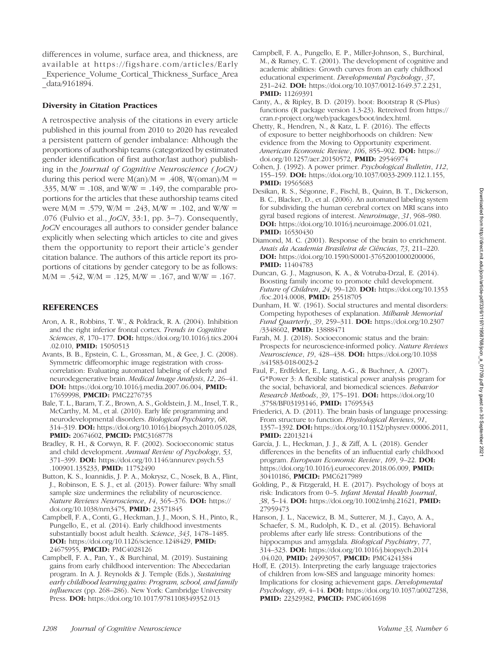differences in volume, surface area, and thickness, are available at https://figshare.com/articles/Early \_Experience\_Volume\_Cortical\_Thickness\_Surface\_Area \_data/9161894.

#### Diversity in Citation Practices

A retrospective analysis of the citations in every article published in this journal from 2010 to 2020 has revealed a persistent pattern of gender imbalance: Although the proportions of authorship teams (categorized by estimated gender identification of first author/last author) publishing in the Journal of Cognitive Neuroscience (JoCN) during this period were  $M(an)/M = .408$ , W(oman)/M = .335,  $M/W = .108$ , and  $W/W = .149$ , the comparable proportions for the articles that these authorship teams cited were  $M/M = .579$ , W/M = .243, M/W = .102, and W/W = .076 (Fulvio et al., JoCN, 33:1, pp. 3–7). Consequently, JoCN encourages all authors to consider gender balance explicitly when selecting which articles to cite and gives them the opportunity to report their article's gender citation balance. The authors of this article report its proportions of citations by gender category to be as follows:  $M/M = .542$ , W/M = .125, M/W = .167, and W/W = .167.

#### **REFERENCES**

- Aron, A. R., Robbins, T. W., & Poldrack, R. A. (2004). Inhibition and the right inferior frontal cortex. Trends in Cognitive Sciences, 8, 170-177. **DOI:** https://doi.org/10.1016/j.tics.2004 .02.010, PMID: 15050513
- Avants, B. B., Epstein, C. L., Grossman, M., & Gee, J. C. (2008). Symmetric diffeomorphic image registration with crosscorrelation: Evaluating automated labeling of elderly and neurodegenerative brain. Medical Image Analysis, 12, 26–41. DOI: https://doi.org/10.1016/j.media.2007.06.004, PMID: 17659998, PMCID: PMC2276735
- Bale, T. L., Baram, T. Z., Brown, A. S., Goldstein, J. M., Insel, T. R., McCarthy, M. M., et al. (2010). Early life programming and neurodevelopmental disorders. Biological Psychiatry, 68, 314–319. DOI: https://doi.org/10.1016/j.biopsych.2010.05.028, PMID: 20674602, PMCID: PMC3168778
- Bradley, R. H., & Corwyn, R. F. (2002). Socioeconomic status and child development. Annual Review of Psychology, 53, 371–399. DOI: https://doi.org/10.1146/annurev.psych.53 .100901.135233, PMID: 11752490
- Button, K. S., Ioannidis, J. P. A., Mokrysz, C., Nosek, B. A., Flint, J., Robinson, E. S. J., et al. (2013). Power failure: Why small sample size undermines the reliability of neuroscience. Nature Reviews Neuroscience, 14, 365–376. DOI: https:// doi.org/10.1038/nrn3475, PMID: 23571845
- Campbell, F. A., Conti, G., Heckman, J. J., Moon, S. H., Pinto, R., Pungello, E., et al. (2014). Early childhood investments substantially boost adult health. Science, 343, 1478–1485. DOI: https://doi.org/10.1126/science.1248429, PMID: 24675955, PMCID: PMC4028126
- Campbell, F. A., Pan, Y., & Burchinal, M. (2019). Sustaining gains from early childhood intervention: The Abecedarian program. In A. J. Reynolds & J. Temple (Eds.), Sustaining early childhood learning gains: Program, school, and family influences (pp. 268–286). New York: Cambridge University Press. DOI: https://doi.org/10.1017/9781108349352.013
- Campbell, F. A., Pungello, E. P., Miller-Johnson, S., Burchinal, M., & Ramey, C. T. (2001). The development of cognitive and academic abilities: Growth curves from an early childhood educational experiment. Developmental Psychology, 37, 231–242. DOI: https://doi.org/10.1037/0012-1649.37.2.231, PMID: 11269391
- Canty, A., & Ripley, B. D. (2019). boot: Bootstrap R (S-Plus) functions (R package version 1.3-23). Retreived from https:// cran.r-project.org/web/packages/boot/index.html.
- Chetty, R., Hendren, N., & Katz, L. F. (2016). The effects of exposure to better neighborhoods on children: New evidence from the Moving to Opportunity experiment. American Economic Review, 106, 855-902. DOI: https:// doi.org/10.1257/aer.20150572, PMID: 29546974
- Cohen, J. (1992). A power primer. Psychological Bulletin, 112, 155–159. DOI: https://doi.org/10.1037/0033-2909.112.1.155, **PMID:** 19565683
- Desikan, R. S., Ségonne, F., Fischl, B., Quinn, B. T., Dickerson, B. C., Blacker, D., et al. (2006). An automated labeling system for subdividing the human cerebral cortex on MRI scans into gyral based regions of interest. Neuroimage, 31, 968–980. DOI: https://doi.org/10.1016/j.neuroimage.2006.01.021, **PMID:** 16530430
- Diamond, M. C. (2001). Response of the brain to enrichment. Anais da Academia Brasileira de Ciências, 73, 211–220. DOI: https://doi.org/10.1590/S0001-37652001000200006, PMID: 11404783
- Duncan, G. J., Magnuson, K. A., & Votruba-Drzal, E. (2014). Boosting family income to promote child development. Future of Children, 24, 99–120. DOI: https://doi.org/10.1353 /foc.2014.0008, PMID: 25518705
- Dunham, H. W. (1961). Social structures and mental disorders: Competing hypotheses of explanation. Milbank Memorial Fund Quarterly, 39, 259–311. DOI: https://doi.org/10.2307 /3348602, **PMID**: 13888471
- Farah, M. J. (2018). Socioeconomic status and the brain: Prospects for neuroscience-informed policy. Nature Reviews Neuroscience, 19, 428–438. DOI: https://doi.org/10.1038 /s41583-018-0023-2
- Faul, F., Erdfelder, E., Lang, A.-G., & Buchner, A. (2007). G\*Power 3: A flexible statistical power analysis program for the social, behavioral, and biomedical sciences. Behavior Research Methods, 39, 175–191. DOI: https://doi.org/10 .3758/BF03193146, PMID: 17695343
- Friederici, A. D. (2011). The brain basis of language processing: From structure to function. Physiological Reviews, 91, 1357–1392. DOI: https://doi.org/10.1152/physrev.00006.2011, PMID: 22013214
- García, J. L., Heckman, J. J., & Ziff, A. L. (2018). Gender differences in the benefits of an influential early childhood program. European Economic Review, 109, 9–22. DOI: https://doi.org/10.1016/j.euroecorev.2018.06.009, PMID: 30410186, PMCID: PMC6217989
- Golding, P., & Fitzgerald, H. E. (2017). Psychology of boys at risk: Indicators from 0–5. Infant Mental Health Journal, 38, 5–14. DOI: https://doi.org/10.1002/imhj.21621, PMID: 27959473
- Hanson, J. L., Nacewicz, B. M., Sutterer, M. J., Cayo, A. A., Schaefer, S. M., Rudolph, K. D., et al. (2015). Behavioral problems after early life stress: Contributions of the hippocampus and amygdala. Biological Psychiatry, 77, 314–323. DOI: https://doi.org/10.1016/j.biopsych.2014 .04.020, PMID: 24993057, PMCID: PMC4241384
- Hoff, E. (2013). Interpreting the early language trajectories of children from low-SES and language minority homes: Implications for closing achievement gaps. Developmental Psychology, 49, 4–14. DOI: https://doi.org/10.1037/a0027238, PMID: 22329382, PMCID: PMC4061698